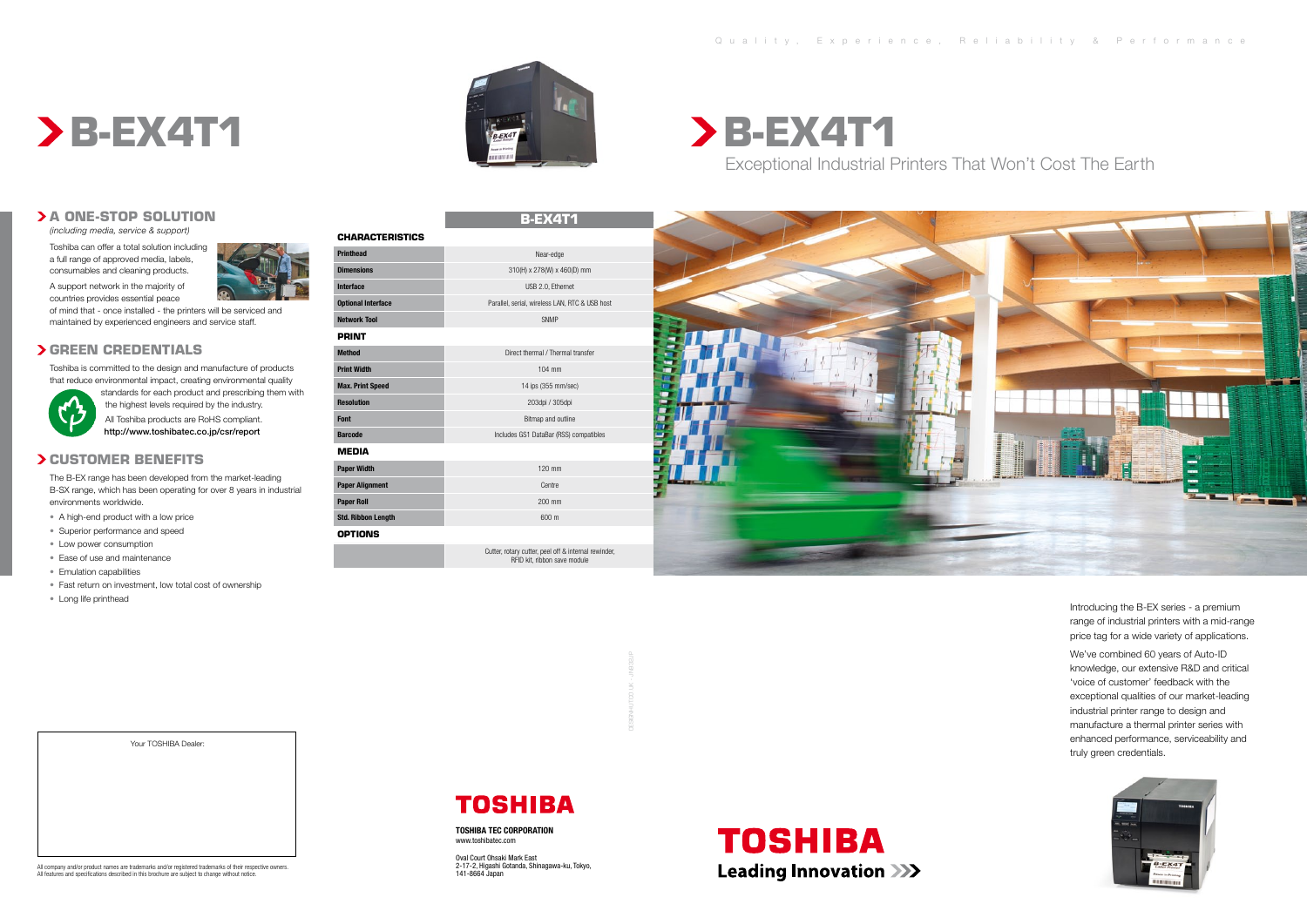# **A One-Stop Solution**

*(including media, service & support)*

Toshiba can offer a total solution including a full range of approved media, labels, consumables and cleaning products.

A support network in the majority of countries provides essential peace

of mind that - once installed - the printers will be serviced and maintained by experienced engineers and service staff.

# **Green Credentials**

Toshiba is committed to the design and manufacture of products that reduce environmental impact, creating environmental quality



standards for each product and prescribing them with the highest levels required by the industry. All Toshiba products are RoHS compliant. http://www.toshibatec.co.jp/csr/report

## **Customer Benefits**

The B-EX range has been developed from the market-leading B-SX range, which has been operating for over 8 years in industrial environments worldwide.

- A high-end product with a low price
- Superior performance and speed
- Low power consumption
- Ease of use and maintenance
- Emulation capabilities
- Fast return on investment, low total cost of ownership
- Long life printhead

# **B-EX4T1**

| <b>CHARACTERISTICS</b>    |                                                                                      |
|---------------------------|--------------------------------------------------------------------------------------|
| <b>Printhead</b>          | Near-edge                                                                            |
| <b>Dimensions</b>         | 310(H) x 278(W) x 460(D) mm                                                          |
| <b>Interface</b>          | USB 2.0, Ethernet                                                                    |
| <b>Optional Interface</b> | Parallel, serial, wireless LAN, RTC & USB host                                       |
| <b>Network Tool</b>       | <b>SNMP</b>                                                                          |
| <b>PRINT</b>              |                                                                                      |
| <b>Method</b>             | Direct thermal / Thermal transfer                                                    |
| <b>Print Width</b>        | $104$ mm                                                                             |
| <b>Max. Print Speed</b>   | 14 ips (355 mm/sec)                                                                  |
| <b>Resolution</b>         | 203dpi / 305dpi                                                                      |
| Font                      | Bitmap and outline                                                                   |
| <b>Barcode</b>            | Includes GS1 DataBar (RSS) compatibles                                               |
| <b>MEDIA</b>              |                                                                                      |
| <b>Paper Width</b>        | $120$ mm                                                                             |
| <b>Paper Alignment</b>    | Centre                                                                               |
| <b>Paper Roll</b>         | 200 mm                                                                               |
| <b>Std. Ribbon Length</b> | 600 m                                                                                |
| <b>OPTIONS</b>            |                                                                                      |
|                           | Cutter, rotary cutter, peel off & internal rewinder,<br>RFID kit, ribbon save module |



# All company and/or product names are trademarks and/or registered trademarks of their respective owners. All features and specifications described in this brochure are subject to change without notice.

Your TOSHIBA Dealer:

# **TOSHIBA**

**B-EX4T1** Exceptional Industrial Printers That Won't Cost The Earth





Introducing the B-EX series - a premium range of industrial printers with a mid-range price tag for a wide variety of applications.

We've combined 60 years of Auto-ID knowledge, our extensive R&D and critical 'voice of customer' feedback with the exceptional qualities of our market-leading industrial printer range to design and manufacture a thermal printer series with enhanced performance, serviceability and truly green credentials.



DESIGNHUT.CO.UK - JN932JP

**TOSHIBA TEC CORPORATION** www.toshibatec.com

Oval Court Ohsaki Mark East 2-17-2, Higashi Gotanda, Shinagawa-ku, Tokyo, 141-8664 Japan